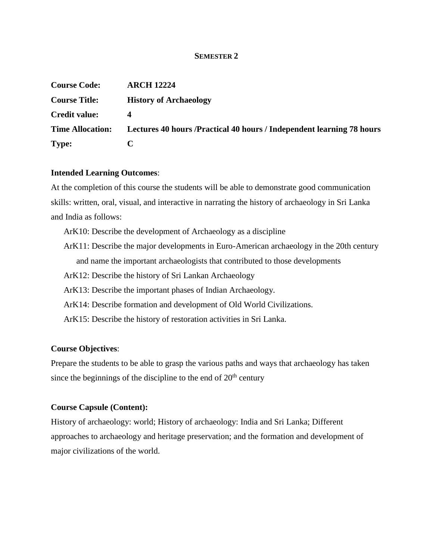#### **SEMESTER 2**

| <b>Course Code:</b>     | <b>ARCH 12224</b>                                                      |
|-------------------------|------------------------------------------------------------------------|
| <b>Course Title:</b>    | <b>History of Archaeology</b>                                          |
| <b>Credit value:</b>    | 4                                                                      |
| <b>Time Allocation:</b> | Lectures 40 hours / Practical 40 hours / Independent learning 78 hours |
| Type:                   |                                                                        |

#### **Intended Learning Outcomes**:

At the completion of this course the students will be able to demonstrate good communication skills: written, oral, visual, and interactive in narrating the history of archaeology in Sri Lanka and India as follows:

- ArK10: Describe the development of Archaeology as a discipline
- ArK11: Describe the major developments in Euro-American archaeology in the 20th century and name the important archaeologists that contributed to those developments
- ArK12: Describe the history of Sri Lankan Archaeology
- ArK13: Describe the important phases of Indian Archaeology.
- ArK14: Describe formation and development of Old World Civilizations.
- ArK15: Describe the history of restoration activities in Sri Lanka.

### **Course Objectives**:

Prepare the students to be able to grasp the various paths and ways that archaeology has taken since the beginnings of the discipline to the end of  $20<sup>th</sup>$  century

### **Course Capsule (Content):**

History of archaeology: world; History of archaeology: India and Sri Lanka; Different approaches to archaeology and heritage preservation; and the formation and development of major civilizations of the world.